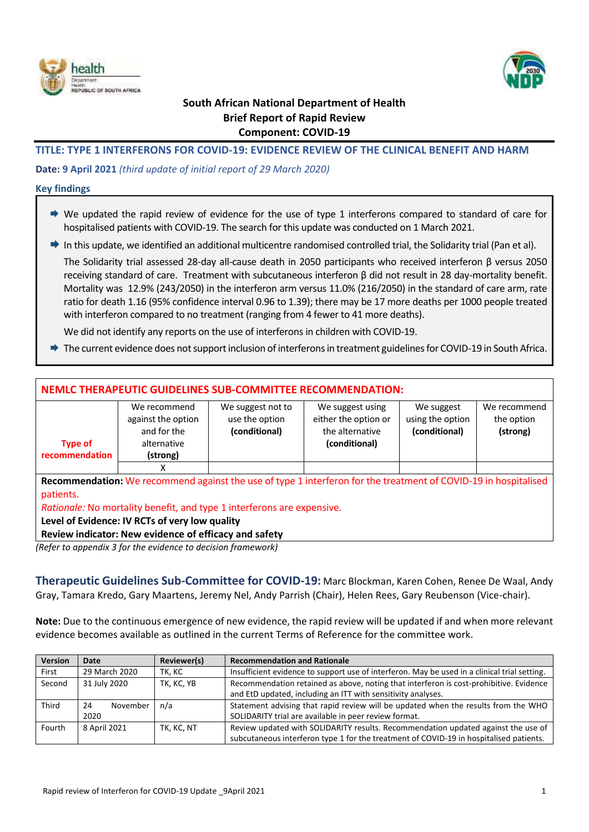



## **South African National Department of Health Brief Report of Rapid Review Component: COVID-19**

### **TITLE: TYPE 1 INTERFERONS FOR COVID-19: EVIDENCE REVIEW OF THE CLINICAL BENEFIT AND HARM**

#### **Date: 9 April 2021** *(third update of initial report of 29 March 2020)*

#### **Key findings**

- $\rightarrow$  We updated the rapid review of evidence for the use of type 1 interferons compared to standard of care for hospitalised patients with COVID-19. The search for this update was conducted on 1 March 2021.
- In this update, we identified an additional multicentre randomised controlled trial, the Solidarity trial (Pan et al).

The Solidarity trial assessed 28-day all-cause death in 2050 participants who received interferon β versus 2050 receiving standard of care. Treatment with subcutaneous interferon β did not result in 28 day-mortality benefit. Mortality was 12.9% (243/2050) in the interferon arm versus 11.0% (216/2050) in the standard of care arm, rate ratio for death 1.16 (95% confidence interval 0.96 to 1.39); there may be 17 more deaths per 1000 people treated with interferon compared to no treatment (ranging from 4 fewer to 41 more deaths).

We did not identify any reports on the use of interferons in children with COVID-19.

The current evidence does not support inclusion of interferons in treatment guidelines for COVID-19 in South Africa.

## **NEMLC THERAPEUTIC GUIDELINES SUB-COMMITTEE RECOMMENDATION:**

|                | We recommend       | We suggest not to | We suggest using     | We suggest       | We recommend |
|----------------|--------------------|-------------------|----------------------|------------------|--------------|
|                | against the option | use the option    | either the option or | using the option | the option   |
|                | and for the        | (conditional)     | the alternative      | (conditional)    | (strong)     |
| <b>Type of</b> | alternative        |                   | (conditional)        |                  |              |
| recommendation | (strong)           |                   |                      |                  |              |
|                |                    |                   |                      |                  |              |

**Recommendation:** We recommend against the use of type 1 interferon for the treatment of COVID-19 in hospitalised patients.

*Rationale:* No mortality benefit, and type 1 interferons are expensive.

**Level of Evidence: IV RCTs of very low quality**

#### **Review indicator: New evidence of efficacy and safety**

*(Refer to appendix 3 for the evidence to decision framework)*

**Therapeutic Guidelines Sub-Committee for COVID-19:** Marc Blockman, Karen Cohen, Renee De Waal, Andy Gray, Tamara Kredo, Gary Maartens, Jeremy Nel, Andy Parrish (Chair), Helen Rees, Gary Reubenson (Vice-chair).

**Note:** Due to the continuous emergence of new evidence, the rapid review will be updated if and when more relevant evidence becomes available as outlined in the current Terms of Reference for the committee work.

| <b>Version</b> | Date           | Reviewer(s) | <b>Recommendation and Rationale</b>                                                          |
|----------------|----------------|-------------|----------------------------------------------------------------------------------------------|
| First          | 29 March 2020  | TK, KC      | Insufficient evidence to support use of interferon. May be used in a clinical trial setting. |
| Second         | 31 July 2020   | TK, KC, YB  | Recommendation retained as above, noting that interferon is cost-prohibitive. Evidence       |
|                |                |             | and EtD updated, including an ITT with sensitivity analyses.                                 |
| Third          | November<br>24 | n/a         | Statement advising that rapid review will be updated when the results from the WHO           |
|                | 2020           |             | SOLIDARITY trial are available in peer review format.                                        |
| Fourth         | 8 April 2021   | TK, KC, NT  | Review updated with SOLIDARITY results. Recommendation updated against the use of            |
|                |                |             | subcutaneous interferon type 1 for the treatment of COVID-19 in hospitalised patients.       |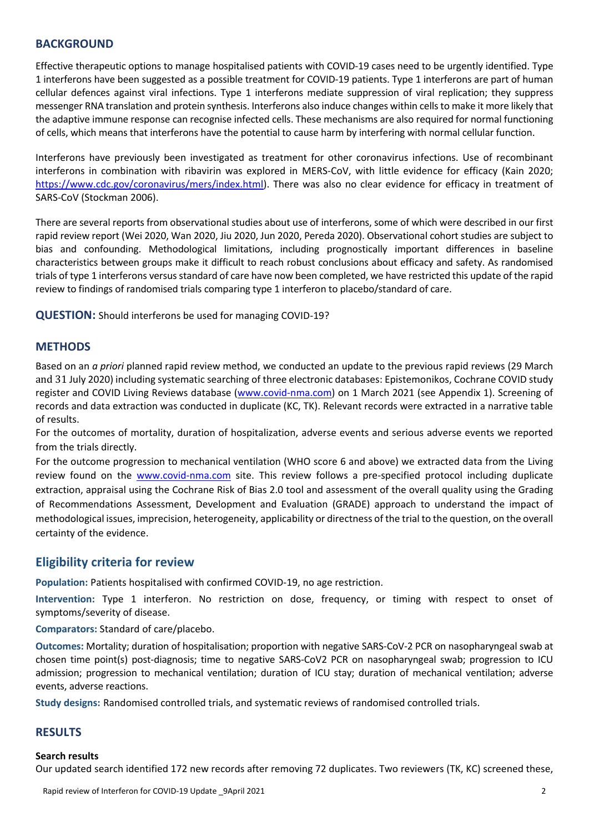## **BACKGROUND**

Effective therapeutic options to manage hospitalised patients with COVID-19 cases need to be urgently identified. Type 1 interferons have been suggested as a possible treatment for COVID-19 patients. Type 1 interferons are part of human cellular defences against viral infections. Type 1 interferons mediate suppression of viral replication; they suppress messenger RNA translation and protein synthesis. Interferons also induce changes within cells to make it more likely that the adaptive immune response can recognise infected cells. These mechanisms are also required for normal functioning of cells, which means that interferons have the potential to cause harm by interfering with normal cellular function.

Interferons have previously been investigated as treatment for other coronavirus infections. Use of recombinant interferons in combination with ribavirin was explored in MERS-CoV, with little evidence for efficacy (Kain 2020; [https://www.cdc.gov/coronavirus/mers/index.html\)](https://www.cdc.gov/coronavirus/mers/index.html). There was also no clear evidence for efficacy in treatment of SARS-CoV (Stockman 2006).

There are several reports from observational studies about use of interferons, some of which were described in our first rapid review report (Wei 2020, Wan 2020, Jiu 2020, Jun 2020, Pereda 2020). Observational cohort studies are subject to bias and confounding. Methodological limitations, including prognostically important differences in baseline characteristics between groups make it difficult to reach robust conclusions about efficacy and safety. As randomised trials of type 1 interferons versusstandard of care have now been completed, we have restricted this update of the rapid review to findings of randomised trials comparing type 1 interferon to placebo/standard of care.

**QUESTION:** Should interferons be used for managing COVID-19?

## **METHODS**

Based on an *a priori* planned rapid review method, we conducted an update to the previous rapid reviews (29 March and 31 July 2020) including systematic searching of three electronic databases: Epistemonikos, Cochrane COVID study register and COVID Living Reviews database [\(www.covid-nma.com\)](http://www.covid-nma.com/) on 1 March 2021 (see Appendix 1). Screening of records and data extraction was conducted in duplicate (KC, TK). Relevant records were extracted in a narrative table of results.

For the outcomes of mortality, duration of hospitalization, adverse events and serious adverse events we reported from the trials directly.

For the outcome progression to mechanical ventilation (WHO score 6 and above) we extracted data from the Living review found on the [www.covid-nma.com](http://www.covid-nma.com/) site. This review follows a pre-specified protocol including duplicate extraction, appraisal using the Cochrane Risk of Bias 2.0 tool and assessment of the overall quality using the Grading of Recommendations Assessment, Development and Evaluation (GRADE) approach to understand the impact of methodological issues, imprecision, heterogeneity, applicability or directness of the trial to the question, on the overall certainty of the evidence.

## **Eligibility criteria for review**

**Population:** Patients hospitalised with confirmed COVID-19, no age restriction.

**Intervention:** Type 1 interferon. No restriction on dose, frequency, or timing with respect to onset of symptoms/severity of disease.

**Comparators:** Standard of care/placebo.

**Outcomes:** Mortality; duration of hospitalisation; proportion with negative SARS-CoV-2 PCR on nasopharyngeal swab at chosen time point(s) post-diagnosis; time to negative SARS-CoV2 PCR on nasopharyngeal swab; progression to ICU admission; progression to mechanical ventilation; duration of ICU stay; duration of mechanical ventilation; adverse events, adverse reactions.

**Study designs:** Randomised controlled trials, and systematic reviews of randomised controlled trials.

## **RESULTS**

#### **Search results**

Our updated search identified 172 new records after removing 72 duplicates. Two reviewers (TK, KC) screened these,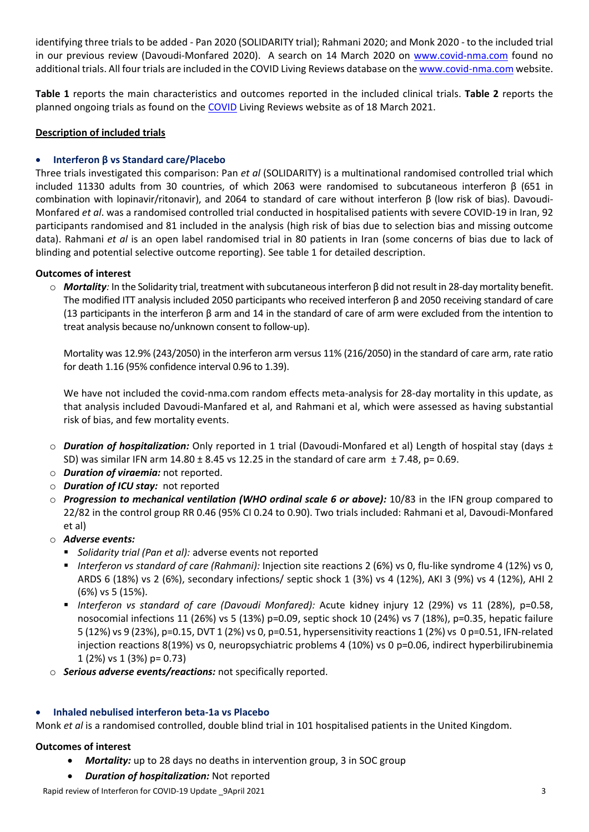identifying three trials to be added - Pan 2020 (SOLIDARITY trial); Rahmani 2020; and Monk 2020 - to the included trial in our previous review (Davoudi-Monfared 2020). A search on 14 March 2020 on [www.covid-nma.com](http://www.covid-nma.com/) found no additional trials. All four trials are included in the COVID Living Reviews database on the [www.covid-nma.com](http://www.covid-nma.com/) website.

**Table 1** reports the main characteristics and outcomes reported in the included clinical trials. **Table 2** reports the planned ongoing trials as found on the [COVID](http://www.covid-nma.com/) Living Reviews website as of 18 March 2021.

### **Description of included trials**

### **Interferon β vs Standard care/Placebo**

Three trials investigated this comparison: Pan *et al* (SOLIDARITY) is a multinational randomised controlled trial which included 11330 adults from 30 countries, of which 2063 were randomised to subcutaneous interferon β (651 in combination with lopinavir/ritonavir), and 2064 to standard of care without interferon β (low risk of bias). Davoudi-Monfared *et al*. was a randomised controlled trial conducted in hospitalised patients with severe COVID-19 in Iran, 92 participants randomised and 81 included in the analysis (high risk of bias due to selection bias and missing outcome data). Rahmani *et al* is an open label randomised trial in 80 patients in Iran (some concerns of bias due to lack of blinding and potential selective outcome reporting). See table 1 for detailed description.

### **Outcomes of interest**

o *Mortality:* In the Solidarity trial, treatment with subcutaneous interferon β did not result in 28-day mortality benefit. The modified ITT analysis included 2050 participants who received interferon β and 2050 receiving standard of care (13 participants in the interferon  $\beta$  arm and 14 in the standard of care of arm were excluded from the intention to treat analysis because no/unknown consent to follow-up).

Mortality was 12.9% (243/2050) in the interferon arm versus 11% (216/2050) in the standard of care arm, rate ratio for death 1.16 (95% confidence interval 0.96 to 1.39).

We have not included the covid-nma.com random effects meta-analysis for 28-day mortality in this update, as that analysis included Davoudi-Manfared et al, and Rahmani et al, which were assessed as having substantial risk of bias, and few mortality events.

- o *Duration of hospitalization:* Only reported in 1 trial (Davoudi-Monfared et al) Length of hospital stay (days ± SD) was similar IFN arm  $14.80 \pm 8.45$  vs 12.25 in the standard of care arm  $\pm 7.48$ , p= 0.69.
- o *Duration of viraemia:* not reported.
- o *Duration of ICU stay:* not reported
- o *Progression to mechanical ventilation (WHO ordinal scale 6 or above):* 10/83 in the IFN group compared to 22/82 in the control group RR 0.46 (95% CI 0.24 to 0.90). Two trials included: Rahmani et al, Davoudi-Monfared et al)
- o *Adverse events:*
	- *Solidarity trial (Pan et al):* adverse events not reported
	- *Interferon vs standard of care (Rahmani):* Injection site reactions 2 (6%) vs 0, flu-like syndrome 4 (12%) vs 0, ARDS 6 (18%) vs 2 (6%), secondary infections/ septic shock 1 (3%) vs 4 (12%), AKI 3 (9%) vs 4 (12%), AHI 2 (6%) vs 5 (15%).
	- *Interferon vs standard of care (Davoudi Monfared):* Acute kidney injury 12 (29%) vs 11 (28%), p=0.58, nosocomial infections 11 (26%) vs 5 (13%) p=0.09, septic shock 10 (24%) vs 7 (18%), p=0.35, hepatic failure 5 (12%) vs 9 (23%), p=0.15, DVT 1 (2%) vs 0, p=0.51, hypersensitivity reactions 1 (2%) vs 0 p=0.51, IFN-related injection reactions 8(19%) vs 0, neuropsychiatric problems 4 (10%) vs 0 p=0.06, indirect hyperbilirubinemia 1 (2%) vs 1 (3%) p= 0.73)
- o *Serious adverse events/reactions:* not specifically reported.

#### **Inhaled nebulised interferon beta-1a vs Placebo**

Monk *et al* is a randomised controlled, double blind trial in 101 hospitalised patients in the United Kingdom.

#### **Outcomes of interest**

- *Mortality:* up to 28 days no deaths in intervention group, 3 in SOC group
- *Duration of hospitalization:* Not reported

Rapid review of Interferon for COVID-19 Update 9April 2021 3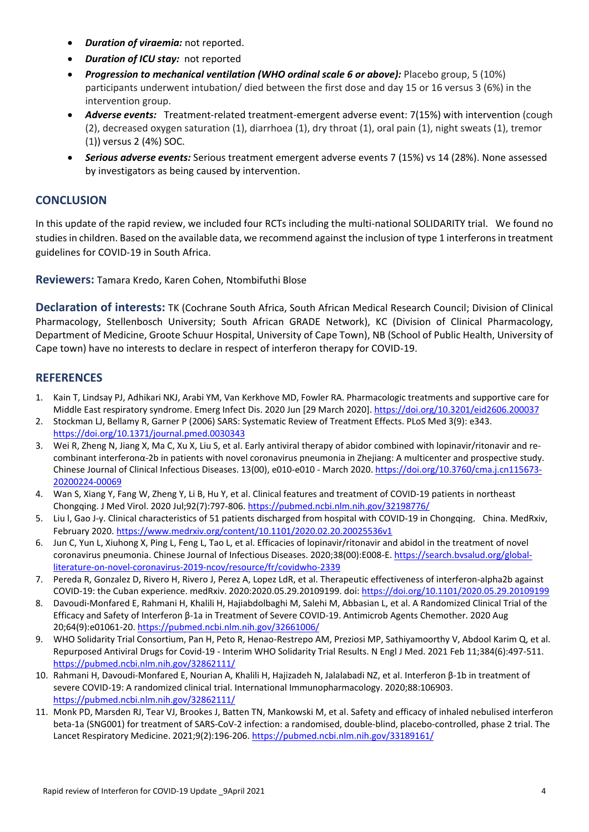- *Duration of viraemia:* not reported.
- *Duration of ICU stay:* not reported
- *Progression to mechanical ventilation (WHO ordinal scale 6 or above):* Placebo group, 5 (10%) participants underwent intubation/ died between the first dose and day 15 or 16 versus 3 (6%) in the intervention group.
- *Adverse events:*Treatment-related treatment-emergent adverse event: 7(15%) with intervention (cough (2), decreased oxygen saturation (1), diarrhoea (1), dry throat (1), oral pain (1), night sweats (1), tremor (1)) versus 2 (4%) SOC.
- *Serious adverse events:* Serious treatment emergent adverse events 7 (15%) vs 14 (28%). None assessed by investigators as being caused by intervention.

## **CONCLUSION**

In this update of the rapid review, we included four RCTs including the multi-national SOLIDARITY trial. We found no studies in children. Based on the available data, we recommend against the inclusion of type 1 interferons in treatment guidelines for COVID-19 in South Africa.

**Reviewers:** Tamara Kredo, Karen Cohen, Ntombifuthi Blose

**Declaration of interests:** TK (Cochrane South Africa, South African Medical Research Council; Division of Clinical Pharmacology, Stellenbosch University; South African GRADE Network), KC (Division of Clinical Pharmacology, Department of Medicine, Groote Schuur Hospital, University of Cape Town), NB (School of Public Health, University of Cape town) have no interests to declare in respect of interferon therapy for COVID-19.

## **REFERENCES**

- 1. Kain T, Lindsay PJ, Adhikari NKJ, Arabi YM, Van Kerkhove MD, Fowler RA. Pharmacologic treatments and supportive care for Middle East respiratory syndrome. Emerg Infect Dis. 2020 Jun [29 March 2020][. https://doi.org/10.3201/eid2606.200037](https://doi.org/10.3201/eid2606.200037)
- 2. Stockman LJ, Bellamy R, Garner P (2006) SARS: Systematic Review of Treatment Effects. PLoS Med 3(9): e343. <https://doi.org/10.1371/journal.pmed.0030343>
- 3. Wei R, Zheng N, Jiang X, Ma C, Xu X, Liu S, et al. Early antiviral therapy of abidor combined with lopinavir/ritonavir and recombinant interferonα-2b in patients with novel coronavirus pneumonia in Zhejiang: A multicenter and prospective study. Chinese Journal of Clinical Infectious Diseases. 13(00), e010-e010 - March 2020[. https://doi.org/10.3760/cma.j.cn115673-](https://doi.org/10.3760/cma.j.cn115673-20200224-00069) [20200224-00069](https://doi.org/10.3760/cma.j.cn115673-20200224-00069)
- 4. Wan S, Xiang Y, Fang W, Zheng Y, Li B, Hu Y, et al. Clinical features and treatment of COVID-19 patients in northeast Chongqing. J Med Virol. 2020 Jul;92(7):797-806[. https://pubmed.ncbi.nlm.nih.gov/32198776/](https://pubmed.ncbi.nlm.nih.gov/32198776/)
- 5. Liu I, Gao J-y. Clinical characteristics of 51 patients discharged from hospital with COVID-19 in Chongqing, China. MedRxiv, February 2020. <https://www.medrxiv.org/content/10.1101/2020.02.20.20025536v1>
- 6. Jun C, Yun L, Xiuhong X, Ping L, Feng L, Tao L, et al. Efficacies of lopinavir/ritonavir and abidol in the treatment of novel coronavirus pneumonia. Chinese Journal of Infectious Diseases. 2020;38(00):E008-E. [https://search.bvsalud.org/global](https://search.bvsalud.org/global-literature-on-novel-coronavirus-2019-ncov/resource/fr/covidwho-2339)[literature-on-novel-coronavirus-2019-ncov/resource/fr/covidwho-2339](https://search.bvsalud.org/global-literature-on-novel-coronavirus-2019-ncov/resource/fr/covidwho-2339)
- 7. Pereda R, Gonzalez D, Rivero H, Rivero J, Perez A, Lopez LdR, et al. Therapeutic effectiveness of interferon-alpha2b against COVID-19: the Cuban experience. medRxiv. 2020:2020.05.29.20109199. doi[: https://doi.org/10.1101/2020.05.29.20109199](https://doi.org/10.1101/2020.05.29.20109199)
- 8. Davoudi-Monfared E, Rahmani H, Khalili H, Hajiabdolbaghi M, Salehi M, Abbasian L, et al. A Randomized Clinical Trial of the Efficacy and Safety of Interferon β-1a in Treatment of Severe COVID-19. Antimicrob Agents Chemother. 2020 Aug 20;64(9):e01061-20.<https://pubmed.ncbi.nlm.nih.gov/32661006/>
- 9. WHO Solidarity Trial Consortium, Pan H, Peto R, Henao-Restrepo AM, Preziosi MP, Sathiyamoorthy V, Abdool Karim Q, et al. Repurposed Antiviral Drugs for Covid-19 - Interim WHO Solidarity Trial Results. N Engl J Med. 2021 Feb 11;384(6):497-511. <https://pubmed.ncbi.nlm.nih.gov/32862111/>
- 10. Rahmani H, Davoudi-Monfared E, Nourian A, Khalili H, Hajizadeh N, Jalalabadi NZ, et al. Interferon β-1b in treatment of severe COVID-19: A randomized clinical trial. International Immunopharmacology. 2020;88:106903. <https://pubmed.ncbi.nlm.nih.gov/32862111/>
- 11. Monk PD, Marsden RJ, Tear VJ, Brookes J, Batten TN, Mankowski M, et al. Safety and efficacy of inhaled nebulised interferon beta-1a (SNG001) for treatment of SARS-CoV-2 infection: a randomised, double-blind, placebo-controlled, phase 2 trial. The Lancet Respiratory Medicine. 2021;9(2):196-206. <https://pubmed.ncbi.nlm.nih.gov/33189161/>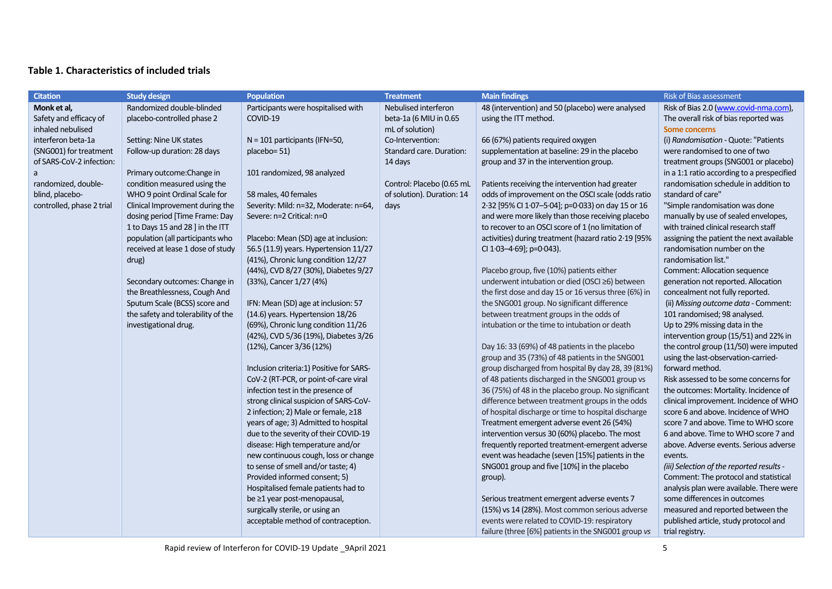## **Table 1. Characteristics of included trials**

| <b>Citation</b>           | <b>Study design</b>                | <b>Population</b>                        | <b>Treatment</b>           | <b>Main findings</b>                                 | Risk of Bias assessment                    |
|---------------------------|------------------------------------|------------------------------------------|----------------------------|------------------------------------------------------|--------------------------------------------|
| Monk et al,               | Randomized double-blinded          | Participants were hospitalised with      | Nebulised interferon       | 48 (intervention) and 50 (placebo) were analysed     | Risk of Bias 2.0 (www.covid-nma.com),      |
| Safety and efficacy of    | placebo-controlled phase 2         | COVID-19                                 | beta-1a (6 MIU in 0.65     | using the ITT method.                                | The overall risk of bias reported was      |
| inhaled nebulised         |                                    |                                          | mL of solution)            |                                                      | <b>Some concerns</b>                       |
| interferon beta-1a        | Setting: Nine UK states            | N = 101 participants (IFN=50,            | Co-Intervention:           | 66 (67%) patients required oxygen                    | (i) Randomisation - Quote: "Patients       |
| (SNG001) for treatment    | Follow-up duration: 28 days        | placebo=51)                              | Standard care. Duration:   | supplementation at baseline: 29 in the placebo       | were randomised to one of two              |
| of SARS-CoV-2 infection:  |                                    |                                          | 14 days                    | group and 37 in the intervention group.              | treatment groups (SNG001 or placebo)       |
| a                         | Primary outcome: Change in         | 101 randomized, 98 analyzed              |                            |                                                      | in a 1:1 ratio according to a prespecified |
| randomized, double-       | condition measured using the       |                                          | Control: Placebo (0.65 mL  | Patients receiving the intervention had greater      | randomisation schedule in addition to      |
| blind, placebo-           | WHO 9 point Ordinal Scale for      | 58 males, 40 females                     | of solution). Duration: 14 | odds of improvement on the OSCI scale (odds ratio    | standard of care"                          |
| controlled, phase 2 trial | Clinical Improvement during the    | Severity: Mild: n=32, Moderate: n=64,    | days                       | 2.32 [95% CI 1.07-5.04]; p=0.033) on day 15 or 16    | "Simple randomisation was done             |
|                           | dosing period [Time Frame: Day     | Severe: n=2 Critical: n=0                |                            | and were more likely than those receiving placebo    | manually by use of sealed envelopes,       |
|                           | 1 to Days 15 and 28 ] in the ITT   |                                          |                            | to recover to an OSCI score of 1 (no limitation of   | with trained clinical research staff       |
|                           | population (all participants who   | Placebo: Mean (SD) age at inclusion:     |                            | activities) during treatment (hazard ratio 2.19 [95% | assigning the patient the next available   |
|                           | received at lease 1 dose of study  | 56.5 (11.9) years. Hypertension 11/27    |                            | CI 1.03-4.69]; p=0.043).                             | randomisation number on the                |
|                           | drug)                              | (41%), Chronic lung condition 12/27      |                            |                                                      | randomisation list."                       |
|                           |                                    | (44%), CVD 8/27 (30%), Diabetes 9/27     |                            | Placebo group, five (10%) patients either            | Comment: Allocation sequence               |
|                           | Secondary outcomes: Change in      | (33%), Cancer 1/27 (4%)                  |                            | underwent intubation or died (OSCI ≥6) between       | generation not reported. Allocation        |
|                           | the Breathlessness, Cough And      |                                          |                            | the first dose and day 15 or 16 versus three (6%) in | concealment not fully reported.            |
|                           | Sputum Scale (BCSS) score and      | IFN: Mean (SD) age at inclusion: 57      |                            | the SNG001 group. No significant difference          | (ii) Missing outcome data - Comment:       |
|                           | the safety and tolerability of the | (14.6) years. Hypertension 18/26         |                            | between treatment groups in the odds of              | 101 randomised; 98 analysed.               |
|                           | investigational drug.              | (69%), Chronic lung condition 11/26      |                            | intubation or the time to intubation or death        | Up to 29% missing data in the              |
|                           |                                    | (42%), CVD 5/36 (19%), Diabetes 3/26     |                            |                                                      | intervention group (15/51) and 22% in      |
|                           |                                    | (12%), Cancer 3/36 (12%)                 |                            | Day 16: 33 (69%) of 48 patients in the placebo       | the control group (11/50) were imputed     |
|                           |                                    |                                          |                            | group and 35 (73%) of 48 patients in the SNG001      | using the last-observation-carried-        |
|                           |                                    | Inclusion criteria:1) Positive for SARS- |                            | group discharged from hospital By day 28, 39 (81%)   | forward method.                            |
|                           |                                    | CoV-2 (RT-PCR, or point-of-care viral    |                            | of 48 patients discharged in the SNG001 group vs     | Risk assessed to be some concerns for      |
|                           |                                    | infection test in the presence of        |                            | 36 (75%) of 48 in the placebo group. No significant  | the outcomes: Mortality. Incidence of      |
|                           |                                    | strong clinical suspicion of SARS-CoV-   |                            | difference between treatment groups in the odds      | clinical improvement. Incidence of WHO     |
|                           |                                    | 2 infection; 2) Male or female, ≥18      |                            | of hospital discharge or time to hospital discharge  | score 6 and above. Incidence of WHO        |
|                           |                                    | years of age; 3) Admitted to hospital    |                            | Treatment emergent adverse event 26 (54%)            | score 7 and above. Time to WHO score       |
|                           |                                    | due to the severity of their COVID-19    |                            | intervention versus 30 (60%) placebo. The most       | 6 and above. Time to WHO score 7 and       |
|                           |                                    | disease: High temperature and/or         |                            | frequently reported treatment-emergent adverse       | above. Adverse events. Serious adverse     |
|                           |                                    | new continuous cough, loss or change     |                            | event was headache (seven [15%] patients in the      | events.                                    |
|                           |                                    | to sense of smell and/or taste; 4)       |                            | SNG001 group and five [10%] in the placebo           | (iii) Selection of the reported results -  |
|                           |                                    | Provided informed consent; 5)            |                            | group).                                              | Comment: The protocol and statistical      |
|                           |                                    | Hospitalised female patients had to      |                            |                                                      | analysis plan were available. There were   |
|                           |                                    | be ≥1 year post-menopausal,              |                            | Serious treatment emergent adverse events 7          | some differences in outcomes               |
|                           |                                    | surgically sterile, or using an          |                            | (15%) vs 14 (28%). Most common serious adverse       | measured and reported between the          |
|                           |                                    | acceptable method of contraception.      |                            | events were related to COVID-19: respiratory         | published article, study protocol and      |
|                           |                                    |                                          |                            | failure (three [6%] patients in the SNG001 group vs  | trial registry.                            |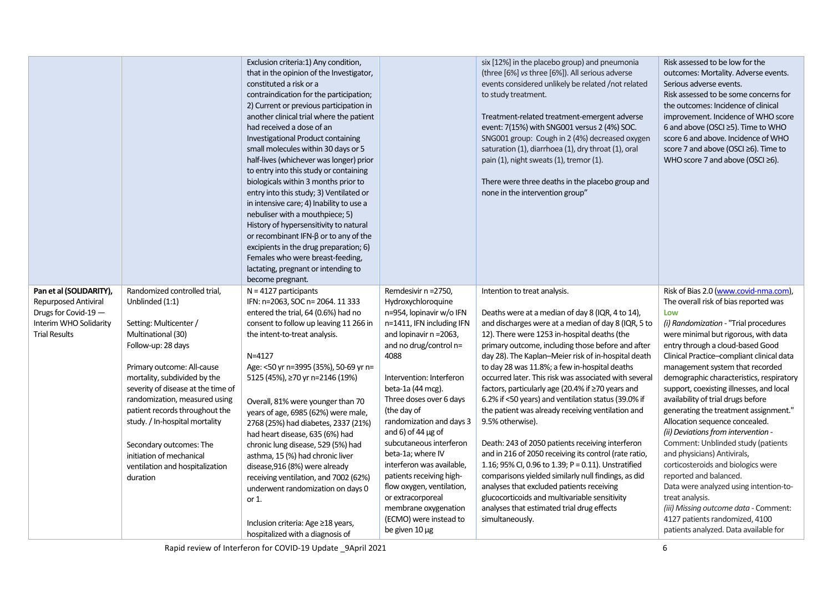|                                                                                                                                  |                                                                                                                                                                                                                                                                                                             | Exclusion criteria:1) Any condition,<br>that in the opinion of the Investigator,<br>constituted a risk or a<br>contraindication for the participation;<br>2) Current or previous participation in<br>another clinical trial where the patient<br>had received a dose of an<br>Investigational Product containing<br>small molecules within 30 days or 5<br>half-lives (whichever was longer) prior<br>to entry into this study or containing<br>biologicals within 3 months prior to<br>entry into this study; 3) Ventilated or<br>in intensive care; 4) Inability to use a<br>nebuliser with a mouthpiece; 5)<br>History of hypersensitivity to natural<br>or recombinant IFN- $\beta$ or to any of the<br>excipients in the drug preparation; 6)<br>Females who were breast-feeding,<br>lactating, pregnant or intending to<br>become pregnant. |                                                                                                                                                                                                                                                                                                                                                                                       | six [12%] in the placebo group) and pneumonia<br>(three [6%] vs three [6%]). All serious adverse<br>events considered unlikely be related /not related<br>to study treatment.<br>Treatment-related treatment-emergent adverse<br>event: 7(15%) with SNG001 versus 2 (4%) SOC.<br>SNG001 group: Cough in 2 (4%) decreased oxygen<br>saturation (1), diarrhoea (1), dry throat (1), oral<br>pain (1), night sweats (1), tremor (1).<br>There were three deaths in the placebo group and<br>none in the intervention group"                                                                                                                                                                                                                        | Risk assessed to be low for the<br>outcomes: Mortality. Adverse events.<br>Serious adverse events.<br>Risk assessed to be some concerns for<br>the outcomes: Incidence of clinical<br>improvement. Incidence of WHO score<br>6 and above (OSCI ≥5). Time to WHO<br>score 6 and above. Incidence of WHO<br>score 7 and above (OSCI ≥6). Time to<br>WHO score 7 and above (OSCI $\geq$ 6).                                                                                                                                                                                                                                                           |
|----------------------------------------------------------------------------------------------------------------------------------|-------------------------------------------------------------------------------------------------------------------------------------------------------------------------------------------------------------------------------------------------------------------------------------------------------------|---------------------------------------------------------------------------------------------------------------------------------------------------------------------------------------------------------------------------------------------------------------------------------------------------------------------------------------------------------------------------------------------------------------------------------------------------------------------------------------------------------------------------------------------------------------------------------------------------------------------------------------------------------------------------------------------------------------------------------------------------------------------------------------------------------------------------------------------------|---------------------------------------------------------------------------------------------------------------------------------------------------------------------------------------------------------------------------------------------------------------------------------------------------------------------------------------------------------------------------------------|-------------------------------------------------------------------------------------------------------------------------------------------------------------------------------------------------------------------------------------------------------------------------------------------------------------------------------------------------------------------------------------------------------------------------------------------------------------------------------------------------------------------------------------------------------------------------------------------------------------------------------------------------------------------------------------------------------------------------------------------------|----------------------------------------------------------------------------------------------------------------------------------------------------------------------------------------------------------------------------------------------------------------------------------------------------------------------------------------------------------------------------------------------------------------------------------------------------------------------------------------------------------------------------------------------------------------------------------------------------------------------------------------------------|
| Pan et al (SOLIDARITY),<br><b>Repurposed Antiviral</b><br>Drugs for Covid-19 -<br>Interim WHO Solidarity<br><b>Trial Results</b> | Randomized controlled trial,<br>Unblinded (1:1)<br>Setting: Multicenter /<br>Multinational (30)<br>Follow-up: 28 days                                                                                                                                                                                       | $N = 4127$ participants<br>IFN: n=2063, SOC n= 2064. 11 333<br>entered the trial, 64 (0.6%) had no<br>consent to follow up leaving 11 266 in<br>the intent-to-treat analysis.                                                                                                                                                                                                                                                                                                                                                                                                                                                                                                                                                                                                                                                                     | Remdesivir n = 2750,<br>Hydroxychloroquine<br>n=954, lopinavir w/o IFN<br>n=1411, IFN including IFN<br>and lopinavir n = 2063,<br>and no drug/control n=                                                                                                                                                                                                                              | Intention to treat analysis.<br>Deaths were at a median of day 8 (IQR, 4 to 14),<br>and discharges were at a median of day 8 (IQR, 5 to<br>12). There were 1253 in-hospital deaths (the<br>primary outcome, including those before and after                                                                                                                                                                                                                                                                                                                                                                                                                                                                                                    | Risk of Bias 2.0 (www.covid-nma.com),<br>The overall risk of bias reported was<br>Low<br>(i) Randomization - "Trial procedures<br>were minimal but rigorous, with data<br>entry through a cloud-based Good                                                                                                                                                                                                                                                                                                                                                                                                                                         |
|                                                                                                                                  | Primary outcome: All-cause<br>mortality, subdivided by the<br>severity of disease at the time of<br>randomization, measured using<br>patient records throughout the<br>study. / In-hospital mortality<br>Secondary outcomes: The<br>initiation of mechanical<br>ventilation and hospitalization<br>duration | $N = 4127$<br>Age: <50 yr n=3995 (35%), 50-69 yr n=<br>5125 (45%), ≥70 yr n=2146 (19%)<br>Overall, 81% were younger than 70<br>years of age, 6985 (62%) were male,<br>2768 (25%) had diabetes, 2337 (21%)<br>had heart disease, 635 (6%) had<br>chronic lung disease, 529 (5%) had<br>asthma, 15 (%) had chronic liver<br>disease, 916 (8%) were already<br>receiving ventilation, and 7002 (62%)<br>underwent randomization on days 0<br>or $1$ .<br>Inclusion criteria: Age ≥18 years,<br>hospitalized with a diagnosis of                                                                                                                                                                                                                                                                                                                      | 4088<br>Intervention: Interferon<br>beta-1a (44 mcg).<br>Three doses over 6 days<br>(the day of<br>randomization and days 3<br>and 6) of 44 $\mu$ g of<br>subcutaneous interferon<br>beta-1a; where IV<br>interferon was available,<br>patients receiving high-<br>flow oxygen, ventilation,<br>or extracorporeal<br>membrane oxygenation<br>(ECMO) were instead to<br>be given 10 µg | day 28). The Kaplan-Meier risk of in-hospital death<br>to day 28 was 11.8%; a few in-hospital deaths<br>occurred later. This risk was associated with several<br>factors, particularly age (20.4% if ≥70 years and<br>6.2% if <50 years) and ventilation status (39.0% if<br>the patient was already receiving ventilation and<br>9.5% otherwise).<br>Death: 243 of 2050 patients receiving interferon<br>and in 216 of 2050 receiving its control (rate ratio,<br>1.16; 95% CI, 0.96 to 1.39; $P = 0.11$ ). Unstratified<br>comparisons yielded similarly null findings, as did<br>analyses that excluded patients receiving<br>glucocorticoids and multivariable sensitivity<br>analyses that estimated trial drug effects<br>simultaneously. | Clinical Practice-compliant clinical data<br>management system that recorded<br>demographic characteristics, respiratory<br>support, coexisting illnesses, and local<br>availability of trial drugs before<br>generating the treatment assignment."<br>Allocation sequence concealed.<br>(ii) Deviations from intervention -<br>Comment: Unblinded study (patients<br>and physicians) Antivirals,<br>corticosteroids and biologics were<br>reported and balanced.<br>Data were analyzed using intention-to-<br>treat analysis.<br>(iii) Missing outcome data - Comment:<br>4127 patients randomized, 4100<br>patients analyzed. Data available for |

Rapid review of Interferon for COVID-19 Update \_9April 2021 6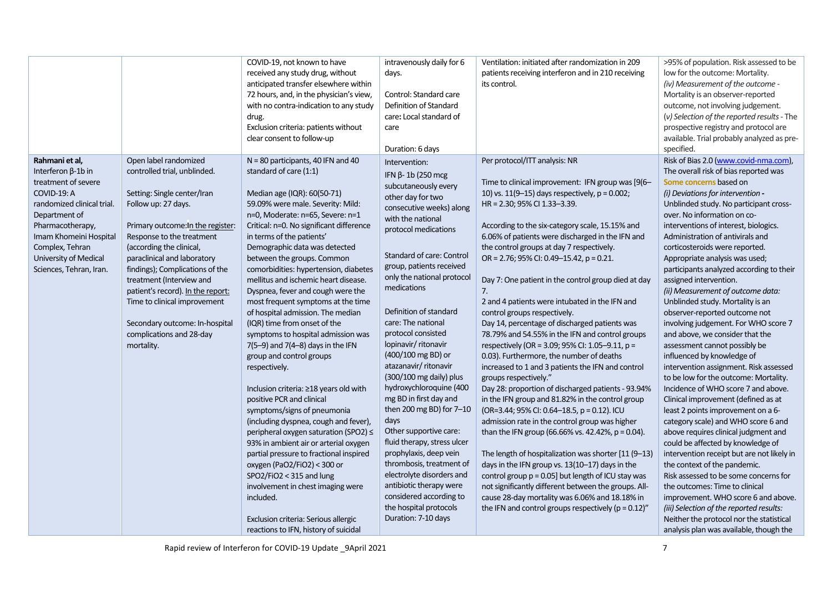|                            |                                   | COVID-19, not known to have              | intravenously daily for 6   | Ventilation: initiated after randomization in 209       | >95% of population. Risk assessed to be     |
|----------------------------|-----------------------------------|------------------------------------------|-----------------------------|---------------------------------------------------------|---------------------------------------------|
|                            |                                   | received any study drug, without         | days.                       | patients receiving interferon and in 210 receiving      | low for the outcome: Mortality.             |
|                            |                                   | anticipated transfer elsewhere within    |                             | its control.                                            | (iv) Measurement of the outcome -           |
|                            |                                   | 72 hours, and, in the physician's view,  | Control: Standard care      |                                                         | Mortality is an observer-reported           |
|                            |                                   | with no contra-indication to any study   | Definition of Standard      |                                                         | outcome, not involving judgement.           |
|                            |                                   | drug.                                    | care: Local standard of     |                                                         | (v) Selection of the reported results - The |
|                            |                                   | Exclusion criteria: patients without     | care                        |                                                         | prospective registry and protocol are       |
|                            |                                   | clear consent to follow-up               |                             |                                                         | available. Trial probably analyzed as pre-  |
|                            |                                   |                                          | Duration: 6 days            |                                                         | specified.                                  |
| Rahmani et al,             | Open label randomized             | $N = 80$ participants, 40 IFN and 40     | Intervention:               | Per protocol/ITT analysis: NR                           | Risk of Bias 2.0 (www.covid-nma.com),       |
| Interferon $\beta$ -1b in  | controlled trial, unblinded.      | standard of care (1:1)                   | IFN $\beta$ -1b (250 mcg    |                                                         | The overall risk of bias reported was       |
| treatment of severe        |                                   |                                          | subcutaneously every        | Time to clinical improvement: IFN group was [9(6-       | Some concerns based on                      |
| COVID-19: A                | Setting: Single center/Iran       | Median age (IQR): 60(50-71)              | other day for two           | 10) vs. 11(9-15) days respectively, $p = 0.002$ ;       | (i) Deviations for intervention -           |
| randomized clinical trial. | Follow up: 27 days.               | 59.09% were male. Severity: Mild:        | consecutive weeks) along    | HR = 2.30; 95% CI 1.33-3.39.                            | Unblinded study. No participant cross-      |
| Department of              |                                   | n=0, Moderate: n=65, Severe: n=1         | with the national           |                                                         | over. No information on co-                 |
| Pharmacotherapy,           | Primary outcome: In the register: | Critical: n=0. No significant difference | protocol medications        | According to the six-category scale, 15.15% and         | interventions of interest, biologics.       |
| Imam Khomeini Hospital     | Response to the treatment         | in terms of the patients'                |                             | 6.06% of patients were discharged in the IFN and        | Administration of antivirals and            |
| Complex, Tehran            | (according the clinical,          | Demographic data was detected            |                             | the control groups at day 7 respectively.               | corticosteroids were reported.              |
| University of Medical      | paraclinical and laboratory       | between the groups. Common               | Standard of care: Control   | OR = 2.76; 95% CI: 0.49-15.42, p = 0.21.                | Appropriate analysis was used;              |
| Sciences, Tehran, Iran.    | findings); Complications of the   | comorbidities: hypertension, diabetes    | group, patients received    |                                                         | participants analyzed according to their    |
|                            | treatment (Interview and          | mellitus and ischemic heart disease.     | only the national protocol  | Day 7: One patient in the control group died at day     | assigned intervention.                      |
|                            | patient's record). In the report: | Dyspnea, fever and cough were the        | medications                 | 7.                                                      | (ii) Measurement of outcome data:           |
|                            | Time to clinical improvement      | most frequent symptoms at the time       |                             | 2 and 4 patients were intubated in the IFN and          | Unblinded study. Mortality is an            |
|                            |                                   | of hospital admission. The median        | Definition of standard      | control groups respectively.                            | observer-reported outcome not               |
|                            | Secondary outcome: In-hospital    | (IQR) time from onset of the             | care: The national          | Day 14, percentage of discharged patients was           | involving judgement. For WHO score 7        |
|                            | complications and 28-day          | symptoms to hospital admission was       | protocol consisted          | 78.79% and 54.55% in the IFN and control groups         | and above, we consider that the             |
|                            | mortality.                        | $7(5-9)$ and $7(4-8)$ days in the IFN    | lopinavir/ ritonavir        | respectively (OR = 3.09; 95% CI: 1.05-9.11, p =         | assessment cannot possibly be               |
|                            |                                   | group and control groups                 | (400/100 mg BD) or          | 0.03). Furthermore, the number of deaths                | influenced by knowledge of                  |
|                            |                                   | respectively.                            | atazanavir/ritonavir        | increased to 1 and 3 patients the IFN and control       | intervention assignment. Risk assessed      |
|                            |                                   |                                          | (300/100 mg daily) plus     | groups respectively."                                   | to be low for the outcome: Mortality.       |
|                            |                                   | Inclusion criteria: ≥18 years old with   | hydroxychloroquine (400     | Day 28: proportion of discharged patients - 93.94%      | Incidence of WHO score 7 and above.         |
|                            |                                   | positive PCR and clinical                | mg BD in first day and      | in the IFN group and 81.82% in the control group        | Clinical improvement (defined as at         |
|                            |                                   | symptoms/signs of pneumonia              | then 200 mg BD) for 7-10    | (OR=3.44; 95% CI: 0.64-18.5, p = 0.12). ICU             | least 2 points improvement on a 6-          |
|                            |                                   | (including dyspnea, cough and fever),    | days                        | admission rate in the control group was higher          | category scale) and WHO score 6 and         |
|                            |                                   | peripheral oxygen saturation (SPO2) ≤    | Other supportive care:      | than the IFN group (66.66% vs. 42.42%, p = 0.04).       | above requires clinical judgment and        |
|                            |                                   | 93% in ambient air or arterial oxygen    | fluid therapy, stress ulcer |                                                         | could be affected by knowledge of           |
|                            |                                   | partial pressure to fractional inspired  | prophylaxis, deep vein      | The length of hospitalization was shorter [11 (9-13)    | intervention receipt but are not likely in  |
|                            |                                   | oxygen (PaO2/FiO2) < 300 or              | thrombosis, treatment of    | days in the IFN group vs. 13(10-17) days in the         | the context of the pandemic.                |
|                            |                                   | $SPO2/FiO2 < 315$ and lung               | electrolyte disorders and   | control group $p = 0.05$ ] but length of ICU stay was   | Risk assessed to be some concerns for       |
|                            |                                   | involvement in chest imaging were        | antibiotic therapy were     | not significantly different between the groups. All-    | the outcomes: Time to clinical              |
|                            |                                   | included.                                | considered according to     | cause 28-day mortality was 6.06% and 18.18% in          | improvement. WHO score 6 and above.         |
|                            |                                   |                                          | the hospital protocols      | the IFN and control groups respectively ( $p = 0.12$ )" | (iii) Selection of the reported results:    |
|                            |                                   | Exclusion criteria: Serious allergic     | Duration: 7-10 days         |                                                         | Neither the protocol nor the statistical    |
|                            |                                   | reactions to IFN, history of suicidal    |                             |                                                         | analysis plan was available, though the     |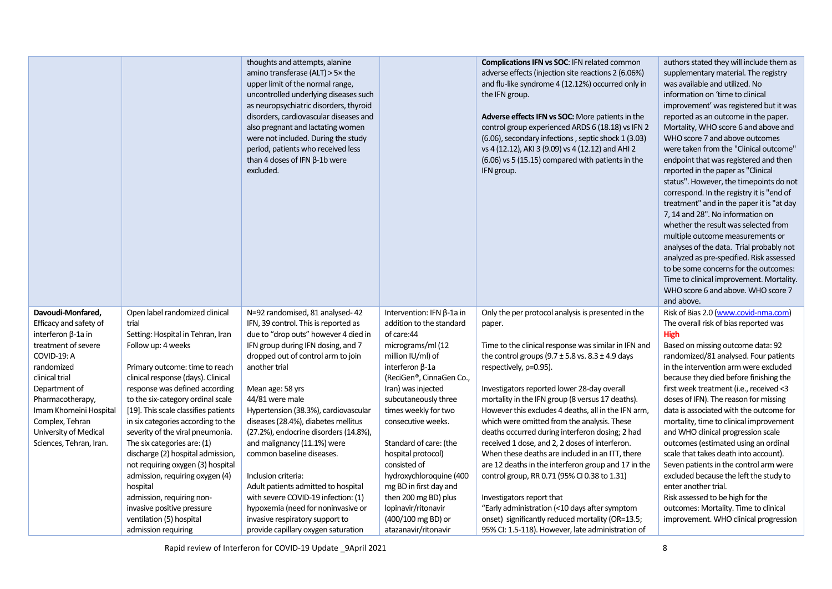|                                             |                                                                     | thoughts and attempts, alanine<br>amino transferase (ALT) > 5x the<br>upper limit of the normal range,<br>uncontrolled underlying diseases such<br>as neuropsychiatric disorders, thyroid<br>disorders, cardiovascular diseases and<br>also pregnant and lactating women<br>were not included. During the study<br>period, patients who received less<br>than 4 doses of IFN $\beta$ -1b were<br>excluded. |                                                              | <b>Complications IFN vs SOC: IFN related common</b><br>adverse effects (injection site reactions 2 (6.06%)<br>and flu-like syndrome 4 (12.12%) occurred only in<br>the IFN group.<br><b>Adverse effects IFN vs SOC:</b> More patients in the<br>control group experienced ARDS 6 (18.18) vs IFN 2<br>(6.06), secondary infections, septic shock 1 (3.03)<br>vs 4 (12.12), AKI 3 (9.09) vs 4 (12.12) and AHI 2<br>(6.06) vs 5 (15.15) compared with patients in the<br>IFN group. | authors stated they will include them as<br>supplementary material. The registry<br>was available and utilized. No<br>information on 'time to clinical<br>improvement' was registered but it was<br>reported as an outcome in the paper.<br>Mortality, WHO score 6 and above and<br>WHO score 7 and above outcomes<br>were taken from the "Clinical outcome"<br>endpoint that was registered and then<br>reported in the paper as "Clinical<br>status". However, the timepoints do not<br>correspond. In the registry it is "end of<br>treatment" and in the paper it is "at day<br>7, 14 and 28". No information on<br>whether the result was selected from<br>multiple outcome measurements or<br>analyses of the data. Trial probably not<br>analyzed as pre-specified. Risk assessed<br>to be some concerns for the outcomes:<br>Time to clinical improvement. Mortality.<br>WHO score 6 and above. WHO score 7<br>and above. |
|---------------------------------------------|---------------------------------------------------------------------|------------------------------------------------------------------------------------------------------------------------------------------------------------------------------------------------------------------------------------------------------------------------------------------------------------------------------------------------------------------------------------------------------------|--------------------------------------------------------------|----------------------------------------------------------------------------------------------------------------------------------------------------------------------------------------------------------------------------------------------------------------------------------------------------------------------------------------------------------------------------------------------------------------------------------------------------------------------------------|-----------------------------------------------------------------------------------------------------------------------------------------------------------------------------------------------------------------------------------------------------------------------------------------------------------------------------------------------------------------------------------------------------------------------------------------------------------------------------------------------------------------------------------------------------------------------------------------------------------------------------------------------------------------------------------------------------------------------------------------------------------------------------------------------------------------------------------------------------------------------------------------------------------------------------------|
| Davoudi-Monfared,<br>Efficacy and safety of | Open label randomized clinical<br>trial                             | N=92 randomised, 81 analysed-42<br>IFN, 39 control. This is reported as                                                                                                                                                                                                                                                                                                                                    | Intervention: IFN $\beta$ -1a in<br>addition to the standard | Only the per protocol analysis is presented in the<br>paper.                                                                                                                                                                                                                                                                                                                                                                                                                     | Risk of Bias 2.0 (www.covid-nma.com)<br>The overall risk of bias reported was                                                                                                                                                                                                                                                                                                                                                                                                                                                                                                                                                                                                                                                                                                                                                                                                                                                     |
| interferon β-1a in                          | Setting: Hospital in Tehran, Iran                                   | due to "drop outs" however 4 died in                                                                                                                                                                                                                                                                                                                                                                       | of care:44                                                   |                                                                                                                                                                                                                                                                                                                                                                                                                                                                                  | <b>High</b>                                                                                                                                                                                                                                                                                                                                                                                                                                                                                                                                                                                                                                                                                                                                                                                                                                                                                                                       |
| treatment of severe                         | Follow up: 4 weeks                                                  | IFN group during IFN dosing, and 7                                                                                                                                                                                                                                                                                                                                                                         | micrograms/ml (12                                            | Time to the clinical response was similar in IFN and                                                                                                                                                                                                                                                                                                                                                                                                                             | Based on missing outcome data: 92                                                                                                                                                                                                                                                                                                                                                                                                                                                                                                                                                                                                                                                                                                                                                                                                                                                                                                 |
| COVID-19: A                                 |                                                                     | dropped out of control arm to join                                                                                                                                                                                                                                                                                                                                                                         | million IU/ml) of                                            | the control groups $(9.7 \pm 5.8 \text{ vs. } 8.3 \pm 4.9 \text{ days})$                                                                                                                                                                                                                                                                                                                                                                                                         | randomized/81 analysed. Four patients                                                                                                                                                                                                                                                                                                                                                                                                                                                                                                                                                                                                                                                                                                                                                                                                                                                                                             |
| randomized                                  | Primary outcome: time to reach                                      | another trial                                                                                                                                                                                                                                                                                                                                                                                              | interferon $\beta$ -1a                                       | respectively, p=0.95).                                                                                                                                                                                                                                                                                                                                                                                                                                                           | in the intervention arm were excluded                                                                                                                                                                                                                                                                                                                                                                                                                                                                                                                                                                                                                                                                                                                                                                                                                                                                                             |
| clinical trial                              | clinical response (days). Clinical                                  |                                                                                                                                                                                                                                                                                                                                                                                                            | (ReciGen®, CinnaGen Co.,                                     |                                                                                                                                                                                                                                                                                                                                                                                                                                                                                  | because they died before finishing the                                                                                                                                                                                                                                                                                                                                                                                                                                                                                                                                                                                                                                                                                                                                                                                                                                                                                            |
| Department of<br>Pharmacotherapy,           | response was defined according<br>to the six-category ordinal scale | Mean age: 58 yrs<br>44/81 were male                                                                                                                                                                                                                                                                                                                                                                        | Iran) was injected<br>subcutaneously three                   | Investigators reported lower 28-day overall<br>mortality in the IFN group (8 versus 17 deaths).                                                                                                                                                                                                                                                                                                                                                                                  | first week treatment (i.e., received <3<br>doses of IFN). The reason for missing                                                                                                                                                                                                                                                                                                                                                                                                                                                                                                                                                                                                                                                                                                                                                                                                                                                  |
| Imam Khomeini Hospital                      | [19]. This scale classifies patients                                | Hypertension (38.3%), cardiovascular                                                                                                                                                                                                                                                                                                                                                                       | times weekly for two                                         | However this excludes 4 deaths, all in the IFN arm,                                                                                                                                                                                                                                                                                                                                                                                                                              | data is associated with the outcome for                                                                                                                                                                                                                                                                                                                                                                                                                                                                                                                                                                                                                                                                                                                                                                                                                                                                                           |
| Complex, Tehran                             | in six categories according to the                                  | diseases (28.4%), diabetes mellitus                                                                                                                                                                                                                                                                                                                                                                        | consecutive weeks.                                           | which were omitted from the analysis. These                                                                                                                                                                                                                                                                                                                                                                                                                                      | mortality, time to clinical improvement                                                                                                                                                                                                                                                                                                                                                                                                                                                                                                                                                                                                                                                                                                                                                                                                                                                                                           |
| University of Medical                       | severity of the viral pneumonia.                                    | (27.2%), endocrine disorders (14.8%),                                                                                                                                                                                                                                                                                                                                                                      |                                                              | deaths occurred during interferon dosing; 2 had                                                                                                                                                                                                                                                                                                                                                                                                                                  | and WHO clinical progression scale                                                                                                                                                                                                                                                                                                                                                                                                                                                                                                                                                                                                                                                                                                                                                                                                                                                                                                |
| Sciences, Tehran, Iran.                     | The six categories are: (1)                                         | and malignancy (11.1%) were                                                                                                                                                                                                                                                                                                                                                                                | Standard of care: (the                                       | received 1 dose, and 2, 2 doses of interferon.                                                                                                                                                                                                                                                                                                                                                                                                                                   | outcomes (estimated using an ordinal                                                                                                                                                                                                                                                                                                                                                                                                                                                                                                                                                                                                                                                                                                                                                                                                                                                                                              |
|                                             | discharge (2) hospital admission,                                   | common baseline diseases.                                                                                                                                                                                                                                                                                                                                                                                  | hospital protocol)                                           | When these deaths are included in an ITT, there                                                                                                                                                                                                                                                                                                                                                                                                                                  | scale that takes death into account).                                                                                                                                                                                                                                                                                                                                                                                                                                                                                                                                                                                                                                                                                                                                                                                                                                                                                             |
|                                             | not requiring oxygen (3) hospital                                   |                                                                                                                                                                                                                                                                                                                                                                                                            | consisted of                                                 | are 12 deaths in the interferon group and 17 in the                                                                                                                                                                                                                                                                                                                                                                                                                              | Seven patients in the control arm were                                                                                                                                                                                                                                                                                                                                                                                                                                                                                                                                                                                                                                                                                                                                                                                                                                                                                            |
|                                             | admission, requiring oxygen (4)                                     | Inclusion criteria:                                                                                                                                                                                                                                                                                                                                                                                        | hydroxychloroquine (400                                      | control group, RR 0.71 (95% CI 0.38 to 1.31)                                                                                                                                                                                                                                                                                                                                                                                                                                     | excluded because the left the study to                                                                                                                                                                                                                                                                                                                                                                                                                                                                                                                                                                                                                                                                                                                                                                                                                                                                                            |
|                                             | hospital<br>admission, requiring non-                               | Adult patients admitted to hospital<br>with severe COVID-19 infection: (1)                                                                                                                                                                                                                                                                                                                                 | mg BD in first day and<br>then 200 mg BD) plus               | Investigators report that                                                                                                                                                                                                                                                                                                                                                                                                                                                        | enter another trial.<br>Risk assessed to be high for the                                                                                                                                                                                                                                                                                                                                                                                                                                                                                                                                                                                                                                                                                                                                                                                                                                                                          |
|                                             | invasive positive pressure                                          | hypoxemia (need for noninvasive or                                                                                                                                                                                                                                                                                                                                                                         | lopinavir/ritonavir                                          | "Early administration (<10 days after symptom                                                                                                                                                                                                                                                                                                                                                                                                                                    | outcomes: Mortality. Time to clinical                                                                                                                                                                                                                                                                                                                                                                                                                                                                                                                                                                                                                                                                                                                                                                                                                                                                                             |
|                                             | ventilation (5) hospital                                            | invasive respiratory support to                                                                                                                                                                                                                                                                                                                                                                            | (400/100 mg BD) or                                           | onset) significantly reduced mortality (OR=13.5;                                                                                                                                                                                                                                                                                                                                                                                                                                 | improvement. WHO clinical progression                                                                                                                                                                                                                                                                                                                                                                                                                                                                                                                                                                                                                                                                                                                                                                                                                                                                                             |
|                                             | admission requiring                                                 | provide capillary oxygen saturation                                                                                                                                                                                                                                                                                                                                                                        | atazanavir/ritonavir                                         | 95% CI: 1.5-118). However, late administration of                                                                                                                                                                                                                                                                                                                                                                                                                                |                                                                                                                                                                                                                                                                                                                                                                                                                                                                                                                                                                                                                                                                                                                                                                                                                                                                                                                                   |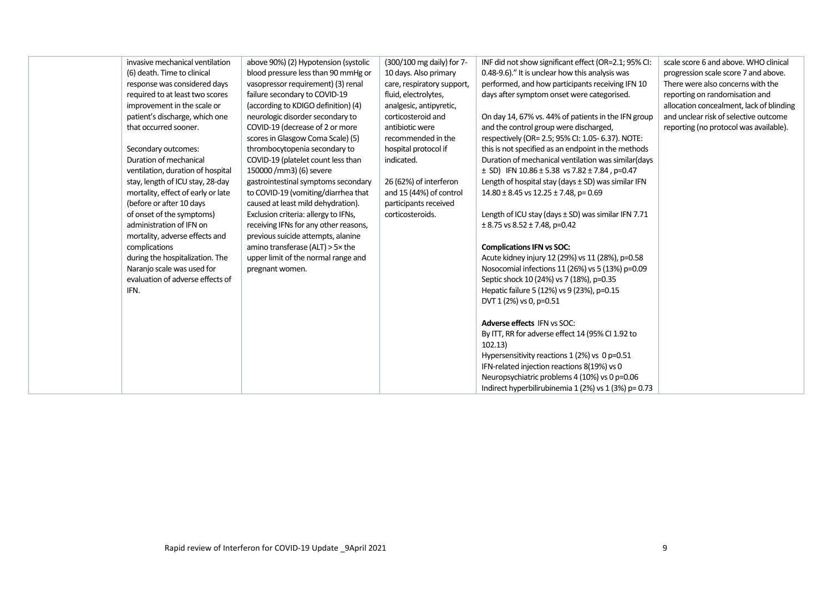| invasive mechanical ventilation<br>(6) death. Time to clinical<br>response was considered days<br>required to at least two scores<br>improvement in the scale or<br>patient's discharge, which one<br>that occurred sooner.<br>Secondary outcomes:<br>Duration of mechanical<br>ventilation, duration of hospital<br>stay, length of ICU stay, 28-day<br>mortality, effect of early or late<br>(before or after 10 days<br>of onset of the symptoms)<br>administration of IFN on<br>mortality, adverse effects and<br>complications<br>during the hospitalization. The<br>Naranjo scale was used for<br>evaluation of adverse effects of<br>IFN. | above 90%) (2) Hypotension (systolic<br>blood pressure less than 90 mmHg or<br>vasopressor requirement) (3) renal<br>failure secondary to COVID-19<br>(according to KDIGO definition) (4)<br>neurologic disorder secondary to<br>COVID-19 (decrease of 2 or more<br>scores in Glasgow Coma Scale) (5)<br>thrombocytopenia secondary to<br>COVID-19 (platelet count less than<br>150000 /mm3) (6) severe<br>gastrointestinal symptoms secondary<br>to COVID-19 (vomiting/diarrhea that<br>caused at least mild dehydration).<br>Exclusion criteria: allergy to IFNs,<br>receiving IFNs for any other reasons,<br>previous suicide attempts, alanine<br>amino transferase (ALT) $> 5 \times$ the<br>upper limit of the normal range and<br>pregnant women. | (300/100 mg daily) for 7-<br>10 days. Also primary<br>care, respiratory support,<br>fluid, electrolytes,<br>analgesic, antipyretic,<br>corticosteroid and<br>antibiotic were<br>recommended in the<br>hospital protocol if<br>indicated.<br>26 (62%) of interferon<br>and 15 (44%) of control<br>participants received<br>corticosteroids. | INF did not show significant effect (OR=2.1; 95% CI:<br>0.48-9.6)." It is unclear how this analysis was<br>performed, and how participants receiving IFN 10<br>days after symptom onset were categorised.<br>On day 14, 67% vs. 44% of patients in the IFN group<br>and the control group were discharged,<br>respectively (OR= 2.5; 95% CI: 1.05- 6.37). NOTE:<br>this is not specified as an endpoint in the methods<br>Duration of mechanical ventilation was similar(days<br>$\pm$ SD) IFN 10.86 $\pm$ 5.38 vs 7.82 $\pm$ 7.84, p=0.47<br>Length of hospital stay (days ± SD) was similar IFN<br>$14.80 \pm 8.45$ vs $12.25 \pm 7.48$ , p= 0.69<br>Length of ICU stay (days ± SD) was similar IFN 7.71<br>$\pm$ 8.75 vs 8.52 $\pm$ 7.48, p=0.42<br><b>Complications IFN vs SOC:</b><br>Acute kidney injury 12 (29%) vs 11 (28%), p=0.58<br>Nosocomial infections 11 (26%) vs 5 (13%) p=0.09<br>Septic shock 10 (24%) vs 7 (18%), p=0.35<br>Hepatic failure 5 (12%) vs 9 (23%), p=0.15<br>DVT 1 (2%) vs 0, p=0.51 | scale score 6 and above. WHO clinical<br>progression scale score 7 and above.<br>There were also concerns with the<br>reporting on randomisation and<br>allocation concealment, lack of blinding<br>and unclear risk of selective outcome<br>reporting (no protocol was available). |
|--------------------------------------------------------------------------------------------------------------------------------------------------------------------------------------------------------------------------------------------------------------------------------------------------------------------------------------------------------------------------------------------------------------------------------------------------------------------------------------------------------------------------------------------------------------------------------------------------------------------------------------------------|----------------------------------------------------------------------------------------------------------------------------------------------------------------------------------------------------------------------------------------------------------------------------------------------------------------------------------------------------------------------------------------------------------------------------------------------------------------------------------------------------------------------------------------------------------------------------------------------------------------------------------------------------------------------------------------------------------------------------------------------------------|--------------------------------------------------------------------------------------------------------------------------------------------------------------------------------------------------------------------------------------------------------------------------------------------------------------------------------------------|----------------------------------------------------------------------------------------------------------------------------------------------------------------------------------------------------------------------------------------------------------------------------------------------------------------------------------------------------------------------------------------------------------------------------------------------------------------------------------------------------------------------------------------------------------------------------------------------------------------------------------------------------------------------------------------------------------------------------------------------------------------------------------------------------------------------------------------------------------------------------------------------------------------------------------------------------------------------------------------------------------------------|-------------------------------------------------------------------------------------------------------------------------------------------------------------------------------------------------------------------------------------------------------------------------------------|
|                                                                                                                                                                                                                                                                                                                                                                                                                                                                                                                                                                                                                                                  |                                                                                                                                                                                                                                                                                                                                                                                                                                                                                                                                                                                                                                                                                                                                                          |                                                                                                                                                                                                                                                                                                                                            | <b>Adverse effects IFN vs SOC:</b><br>By ITT, RR for adverse effect 14 (95% CI 1.92 to                                                                                                                                                                                                                                                                                                                                                                                                                                                                                                                                                                                                                                                                                                                                                                                                                                                                                                                               |                                                                                                                                                                                                                                                                                     |
|                                                                                                                                                                                                                                                                                                                                                                                                                                                                                                                                                                                                                                                  |                                                                                                                                                                                                                                                                                                                                                                                                                                                                                                                                                                                                                                                                                                                                                          |                                                                                                                                                                                                                                                                                                                                            | 102.13)<br>Hypersensitivity reactions 1 (2%) vs 0 p=0.51<br>IFN-related injection reactions 8(19%) vs 0<br>Neuropsychiatric problems 4 (10%) vs 0 p=0.06<br>Indirect hyperbilirubinemia 1 (2%) vs 1 (3%) p= 0.73                                                                                                                                                                                                                                                                                                                                                                                                                                                                                                                                                                                                                                                                                                                                                                                                     |                                                                                                                                                                                                                                                                                     |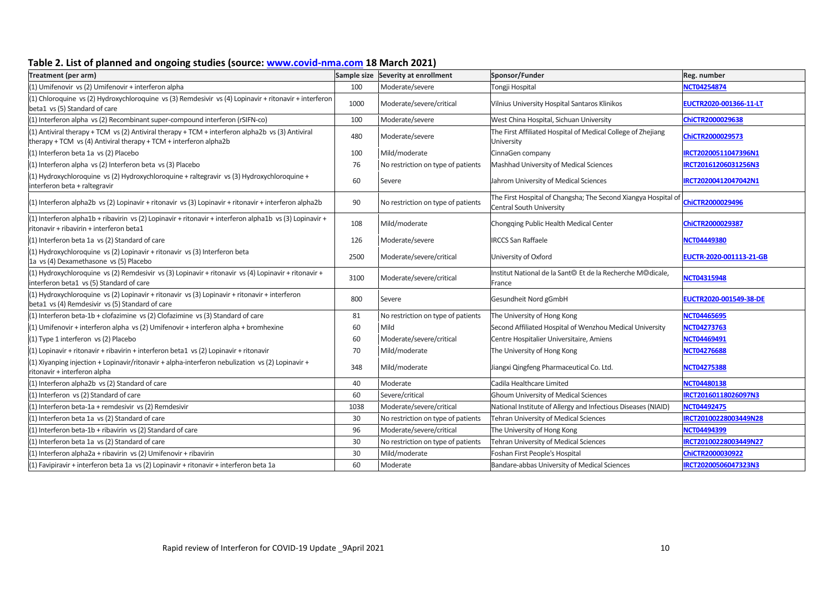## **Table 2. List of planned and ongoing studies (source: [www.covid-nma.com](http://www.covid-nma.com/) 18 March 2021)**

| Treatment (per arm)                                                                                                                                                   |      | Sample size Severity at enrollment | Sponsor/Funder                                                                                    | Reg. number             |
|-----------------------------------------------------------------------------------------------------------------------------------------------------------------------|------|------------------------------------|---------------------------------------------------------------------------------------------------|-------------------------|
| (1) Umifenovir vs (2) Umifenovir + interferon alpha                                                                                                                   | 100  | Moderate/severe                    | Tongji Hospital                                                                                   | <b>NCT04254874</b>      |
| (1) Chloroquine vs (2) Hydroxychloroquine vs (3) Remdesivir vs (4) Lopinavir + ritonavir + interferon<br>beta1 vs (5) Standard of care                                | 1000 | Moderate/severe/critical           | Vilnius University Hospital Santaros Klinikos                                                     | EUCTR2020-001366-11-LT  |
| (1) Interferon alpha vs (2) Recombinant super-compound interferon (rSIFN-co)                                                                                          | 100  | Moderate/severe                    | West China Hospital, Sichuan University                                                           | ChiCTR2000029638        |
| (1) Antiviral therapy + TCM vs (2) Antiviral therapy + TCM + interferon alpha2b vs (3) Antiviral<br>therapy + TCM vs (4) Antiviral therapy + TCM + interferon alpha2b | 480  | Moderate/severe                    | The First Affiliated Hospital of Medical College of Zhejiang<br>University                        | ChiCTR2000029573        |
| (1) Interferon beta 1a vs (2) Placebo                                                                                                                                 | 100  | Mild/moderate                      | CinnaGen company                                                                                  | IRCT20200511047396N1    |
| (1) Interferon alpha vs (2) Interferon beta vs (3) Placebo                                                                                                            | 76   | No restriction on type of patients | Mashhad University of Medical Sciences                                                            | IRCT20161206031256N3    |
| (1) Hydroxychloroquine vs (2) Hydroxychloroquine + raltegravir vs (3) Hydroxychloroquine +<br>interferon beta + raltegravir                                           | 60   | Severe                             | Jahrom University of Medical Sciences                                                             | IRCT20200412047042N1    |
| (1) Interferon alpha2b vs (2) Lopinavir + ritonavir vs (3) Lopinavir + ritonavir + interferon alpha2b                                                                 | 90   | No restriction on type of patients | The First Hospital of Changsha; The Second Xiangya Hospital of<br><b>Central South University</b> | ChiCTR2000029496        |
| (1) Interferon alpha1b + ribavirin vs (2) Lopinavir + ritonavir + interferon alpha1b vs (3) Lopinavir +<br>ritonavir + ribavirin + interferon beta1                   | 108  | Mild/moderate                      | Chongqing Public Health Medical Center                                                            | ChiCTR2000029387        |
| (1) Interferon beta 1a vs (2) Standard of care                                                                                                                        | 126  | Moderate/severe                    | <b>IRCCS San Raffaele</b>                                                                         | NCT04449380             |
| (1) Hydroxychloroquine vs (2) Lopinavir + ritonavir vs (3) Interferon beta<br>1a vs (4) Dexamethasone vs (5) Placebo                                                  | 2500 | Moderate/severe/critical           | University of Oxford                                                                              | EUCTR-2020-001113-21-GB |
| (1) Hydroxychloroquine vs (2) Remdesivir vs (3) Lopinavir + ritonavir vs (4) Lopinavir + ritonavir +<br>interferon beta1 vs (5) Standard of care                      | 3100 | Moderate/severe/critical           | Institut National de la Sant© Et de la Recherche M©dicale,<br>France                              | <b>NCT04315948</b>      |
| (1) Hydroxychloroquine vs (2) Lopinavir + ritonavir vs (3) Lopinavir + ritonavir + interferon<br>beta1 vs (4) Remdesivir vs (5) Standard of care                      | 800  | Severe                             | Gesundheit Nord gGmbH                                                                             | EUCTR2020-001549-38-DE  |
| (1) Interferon beta-1b + clofazimine vs (2) Clofazimine vs (3) Standard of care                                                                                       | 81   | No restriction on type of patients | The University of Hong Kong                                                                       | NCT04465695             |
| (1) Umifenovir + interferon alpha vs (2) Umifenovir + interferon alpha + bromhexine                                                                                   | 60   | Mild                               | Second Affiliated Hospital of Wenzhou Medical University                                          | <b>NCT04273763</b>      |
| (1) Type 1 interferon vs (2) Placebo                                                                                                                                  | 60   | Moderate/severe/critical           | Centre Hospitalier Universitaire, Amiens                                                          | NCT04469491             |
| (1) Lopinavir + ritonavir + ribavirin + interferon beta1 vs (2) Lopinavir + ritonavir                                                                                 | 70   | Mild/moderate                      | The University of Hong Kong                                                                       | <b>NCT04276688</b>      |
| (1) Xiyanping injection + Lopinavir/ritonavir + alpha-interferon nebulization vs (2) Lopinavir +<br>ritonavir + interferon alpha                                      | 348  | Mild/moderate                      | Jiangxi Qingfeng Pharmaceutical Co. Ltd.                                                          | <b>NCT04275388</b>      |
| (1) Interferon alpha2b vs (2) Standard of care                                                                                                                        | 40   | Moderate                           | Cadila Healthcare Limited                                                                         | NCT04480138             |
| (1) Interferon vs (2) Standard of care                                                                                                                                | 60   | Severe/critical                    | Ghoum University of Medical Sciences                                                              | IRCT20160118026097N3    |
| (1) Interferon beta-1a + remdesivir vs (2) Remdesivir                                                                                                                 | 1038 | Moderate/severe/critical           | National Institute of Allergy and Infectious Diseases (NIAID)                                     | NCT04492475             |
| (1) Interferon beta 1a vs (2) Standard of care                                                                                                                        | 30   | No restriction on type of patients | Tehran University of Medical Sciences                                                             | IRCT20100228003449N28   |
| 1) Interferon beta-1b + ribavirin vs (2) Standard of care                                                                                                             | 96   | Moderate/severe/critical           | The University of Hong Kong                                                                       | NCT04494399             |
| (1) Interferon beta 1a vs (2) Standard of care                                                                                                                        | 30   | No restriction on type of patients | Tehran University of Medical Sciences                                                             | IRCT20100228003449N27   |
| (1) Interferon alpha2a + ribavirin vs (2) Umifenovir + ribavirin                                                                                                      | 30   | Mild/moderate                      | Foshan First People's Hospital                                                                    | ChiCTR2000030922        |
| (1) Favipiravir + interferon beta 1a vs (2) Lopinavir + ritonavir + interferon beta 1a                                                                                | 60   | Moderate                           | Bandare-abbas University of Medical Sciences                                                      | IRCT20200506047323N3    |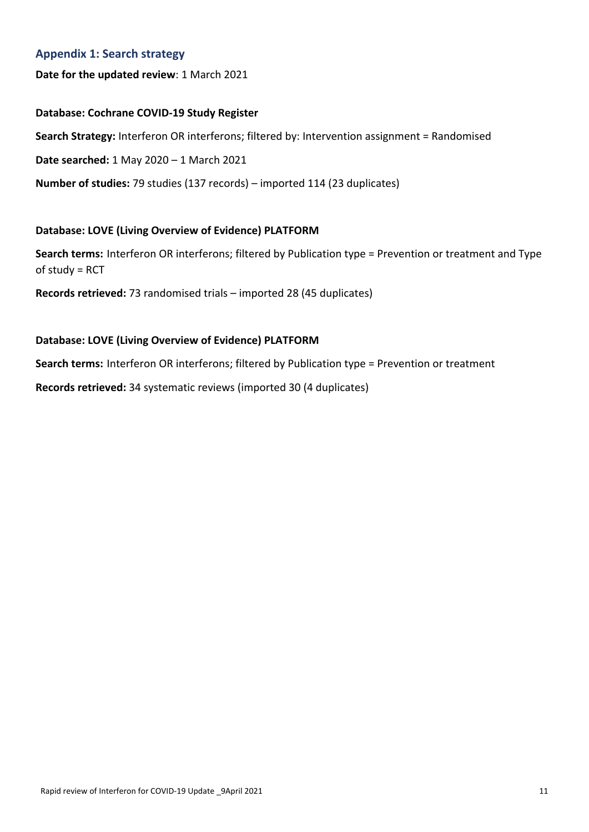## **Appendix 1: Search strategy**

## **Date for the updated review**: 1 March 2021

## **Database: Cochrane COVID-19 Study Register**

**Search Strategy:** Interferon OR interferons; filtered by: Intervention assignment = Randomised

**Date searched:** 1 May 2020 – 1 March 2021

**Number of studies:** 79 studies (137 records) – imported 114 (23 duplicates)

## **Database: LOVE (Living Overview of Evidence) PLATFORM**

**Search terms:** Interferon OR interferons; filtered by Publication type = Prevention or treatment and Type of study = RCT

**Records retrieved:** 73 randomised trials – imported 28 (45 duplicates)

## **Database: LOVE (Living Overview of Evidence) PLATFORM**

**Search terms:** Interferon OR interferons; filtered by Publication type = Prevention or treatment

**Records retrieved:** 34 systematic reviews (imported 30 (4 duplicates)